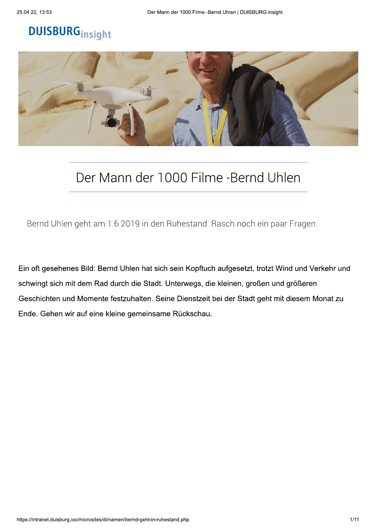# **DUISBURG**insight



## Der Mann der 1000 Filme -Bernd Uhlen

Bernd Uhlen geht am 1.6.2019 in den Ruhestand. Rasch noch ein paar Fragen.

Ein oft gesehenes Bild: Bernd Uhlen hat sich sein Kopftuch aufgesetzt, trotzt Wind und Verkehr und schwingt sich mit dem Rad durch die Stadt. Unterwegs, die kleinen, großen und größeren Geschichten und Momente festzuhalten. Seine Dienstzeit bei der Stadt geht mit diesem Monat zu Ende. Gehen wir auf eine kleine gemeinsame Rückschau.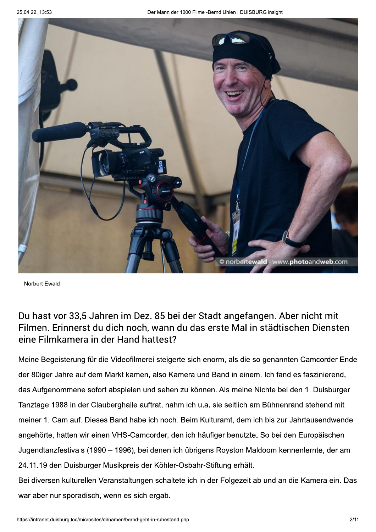

Norbert Ewald

#### Du hast vor 33,5 Jahren im Dez. 85 bei der Stadt angefangen. Aber nicht mit Filmen. Erinnerst du dich noch, wann du das erste Mal in städtischen Diensten eine Filmkamera in der Hand hattest?

Meine Begeisterung für die Videofilmerei steigerte sich enorm, als die so genannten Camcorder Ende der 80iger Jahre auf dem Markt kamen, also Kamera und Band in einem. Ich fand es faszinierend, das Aufgenommene sofort abspielen und sehen zu können. Als meine Nichte bei den 1. Duisburger Tanztage 1988 in der Clauberghalle auftrat, nahm ich u.a. sie seitlich am Bühnenrand stehend mit meiner 1. Cam auf. Dieses Band habe ich noch. Beim Kulturamt, dem ich bis zur Jahrtausendwende angehörte, hatten wir einen VHS-Camcorder, den ich häufiger benutzte. So bei den Europäischen Jugendtanzfestivals (1990 - 1996), bei denen ich übrigens Royston Maldoom kennenlernte, der am 24.11.19 den Duisburger Musikpreis der Köhler-Osbahr-Stiftung erhält. Bei diversen kulturellen Veranstaltungen schaltete ich in der Folgezeit ab und an die Kamera ein. Das

war aber nur sporadisch, wenn es sich ergab.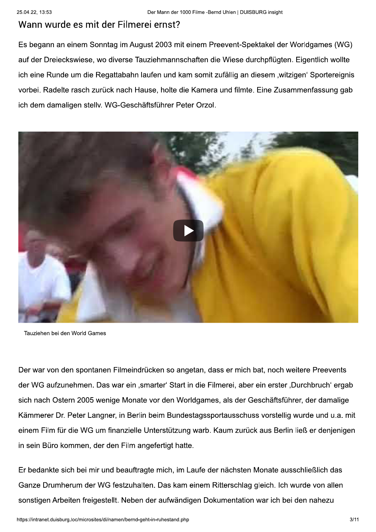#### Wann wurde es mit der Filmerei ernst?

Es begann an einem Sonntag im August 2003 mit einem Preevent-Spektakel der Worldgames (WG) auf der Dreieckswiese, wo diverse Tauziehmannschaften die Wiese durchpflügten. Eigentlich wollte ich eine Runde um die Regattabahn laufen und kam somit zufällig an diesem "witzigen" Sportereignis vorbei. Radelte rasch zurück nach Hause, holte die Kamera und filmte. Eine Zusammenfassung gab ich dem damaligen stellv. WG-Geschäftsführer Peter Orzol.



Tauziehen bei den World Games

Der war von den spontanen Filmeindrücken so angetan, dass er mich bat, noch weitere Preevents der WG aufzunehmen. Das war ein "smarter' Start in die Filmerei, aber ein erster "Durchbruch' ergab sich nach Ostern 2005 wenige Monate vor den Worldgames, als der Geschäftsführer, der damalige Kämmerer Dr. Peter Langner, in Berlin beim Bundestagssportausschuss vorstellig wurde und u.a. mit einem Film für die WG um finanzielle Unterstützung warb. Kaum zurück aus Berlin ließ er denjenigen in sein Büro kommen, der den Film angefertigt hatte.

Er bedankte sich bei mir und beauftragte mich, im Laufe der nächsten Monate ausschließlich das Ganze Drumherum der WG festzuhalten. Das kam einem Ritterschlag gleich. Ich wurde von allen sonstigen Arbeiten freigestellt. Neben der aufwändigen Dokumentation war ich bei den nahezu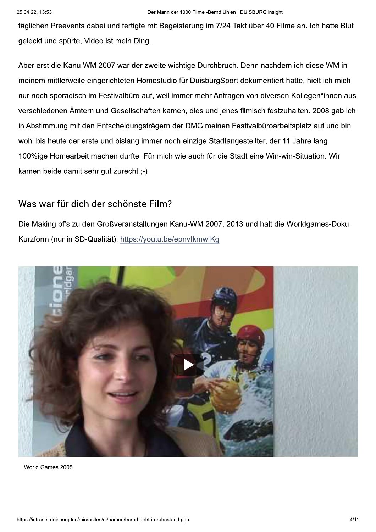täglichen Preevents dabei und fertigte mit Begeisterung im 7/24 Takt über 40 Filme an. Ich hatte Blut geleckt und spürte, Video ist mein Ding.

Aber erst die Kanu WM 2007 war der zweite wichtige Durchbruch. Denn nachdem ich diese WM in meinem mittlerweile eingerichteten Homestudio für DuisburgSport dokumentiert hatte, hielt ich mich nur noch sporadisch im Festivalbüro auf, weil immer mehr Anfragen von diversen Kollegen\*innen aus verschiedenen Ämtern und Gesellschaften kamen, dies und jenes filmisch festzuhalten. 2008 gab ich in Abstimmung mit den Entscheidungsträgern der DMG meinen Festivalbüroarbeitsplatz auf und bin wohl bis heute der erste und bislang immer noch einzige Stadtangestellter, der 11 Jahre lang 100%ige Homearbeit machen durfte. Für mich wie auch für die Stadt eine Win-win-Situation. Wir kamen beide damit sehr gut zurecht :-)

#### Was war für dich der schönste Film?

Die Making of's zu den Großveranstaltungen Kanu-WM 2007, 2013 und halt die Worldgames-Doku. Kurzform (nur in SD-Qualität): https://youtu.be/epnvlkmwlKg



World Games 2005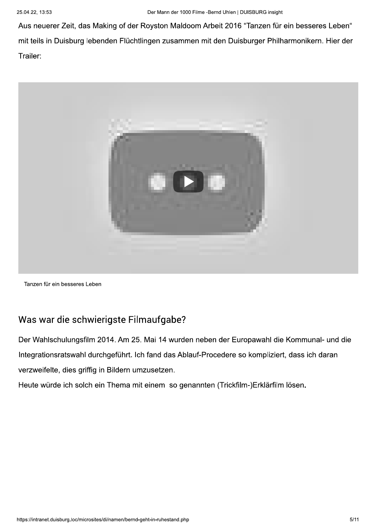Aus neuerer Zeit, das Making of der Royston Maldoom Arbeit 2016 "Tanzen für ein besseres Leben" mit teils in Duisburg lebenden Flüchtlingen zusammen mit den Duisburger Philharmonikern. Hier der Trailer:



Tanzen für ein besseres Leben

#### Was war die schwierigste Filmaufgabe?

Der Wahlschulungsfilm 2014. Am 25. Mai 14 wurden neben der Europawahl die Kommunal- und die Integrationsratswahl durchgeführt. Ich fand das Ablauf-Procedere so kompliziert, dass ich daran verzweifelte, dies griffig in Bildern umzusetzen.

Heute würde ich solch ein Thema mit einem so genannten (Trickfilm-)Erklärfilm lösen.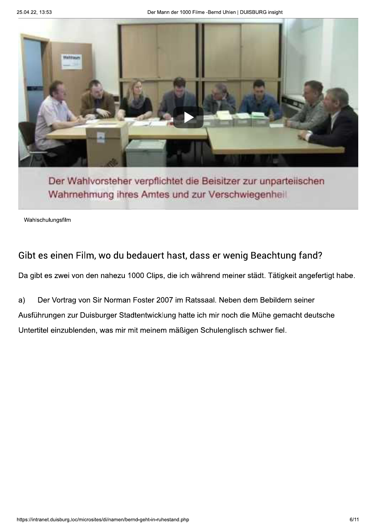

Der Wahlvorsteher verpflichtet die Beisitzer zur unparteilschen Wahrnehmung ihres Amtes und zur Verschwiegenheil

Wahlschulungsfilm

#### Gibt es einen Film, wo du bedauert hast, dass er wenig Beachtung fand?

Da gibt es zwei von den nahezu 1000 Clips, die ich während meiner städt. Tätigkeit angefertigt habe.

Der Vortrag von Sir Norman Foster 2007 im Ratssaal. Neben dem Bebildern seiner  $a)$ Ausführungen zur Duisburger Stadtentwicklung hatte ich mir noch die Mühe gemacht deutsche Untertitel einzublenden, was mir mit meinem mäßigen Schulenglisch schwer fiel.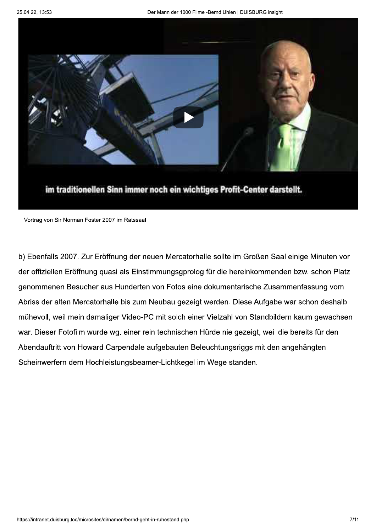

im traditionellen Sinn immer noch ein wichtiges Profit-Center darstellt.

Vortrag von Sir Norman Foster 2007 im Ratssaal

b) Ebenfalls 2007. Zur Eröffnung der neuen Mercatorhalle sollte im Großen Saal einige Minuten vor der offiziellen Eröffnung quasi als Einstimmungsgprolog für die hereinkommenden bzw. schon Platz genommenen Besucher aus Hunderten von Fotos eine dokumentarische Zusammenfassung vom Abriss der alten Mercatorhalle bis zum Neubau gezeigt werden. Diese Aufgabe war schon deshalb mühevoll, weil mein damaliger Video-PC mit solch einer Vielzahl von Standbildern kaum gewachsen war. Dieser Fotofilm wurde wg. einer rein technischen Hürde nie gezeigt, weil die bereits für den Abendauftritt von Howard Carpendale aufgebauten Beleuchtungsriggs mit den angehängten Scheinwerfern dem Hochleistungsbeamer-Lichtkegel im Wege standen.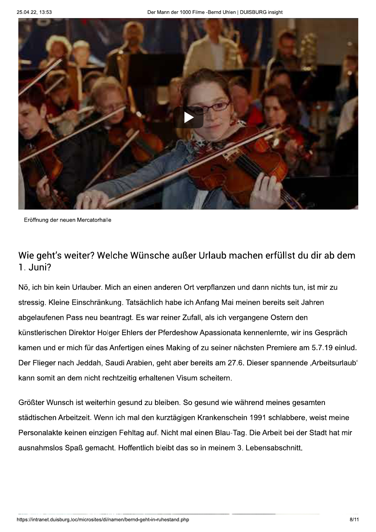

Eröffnung der neuen Mercatorhalle

#### Wie geht's weiter? Welche Wünsche außer Urlaub machen erfüllst du dir ab dem 1. Juni?

Nö, ich bin kein Urlauber. Mich an einen anderen Ort verpflanzen und dann nichts tun, ist mir zu stressig. Kleine Einschränkung. Tatsächlich habe ich Anfang Mai meinen bereits seit Jahren abgelaufenen Pass neu beantragt. Es war reiner Zufall, als ich vergangene Ostern den künstlerischen Direktor Holger Ehlers der Pferdeshow Apassionata kennenlernte, wir ins Gespräch kamen und er mich für das Anfertigen eines Making of zu seiner nächsten Premiere am 5.7.19 einlud. Der Flieger nach Jeddah, Saudi Arabien, geht aber bereits am 27.6. Dieser spannende "Arbeitsurlaub" kann somit an dem nicht rechtzeitig erhaltenen Visum scheitern.

Größter Wunsch ist weiterhin gesund zu bleiben. So gesund wie während meines gesamten städtischen Arbeitzeit. Wenn ich mal den kurztägigen Krankenschein 1991 schlabbere, weist meine Personalakte keinen einzigen Fehltag auf. Nicht mal einen Blau-Tag. Die Arbeit bei der Stadt hat mir ausnahmslos Spaß gemacht. Hoffentlich bleibt das so in meinem 3. Lebensabschnitt.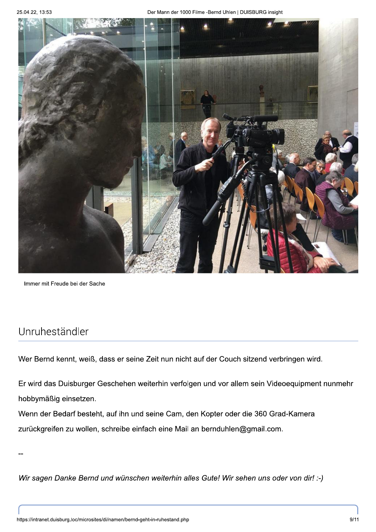

Immer mit Freude bei der Sache

#### Unruheständler

Wer Bernd kennt, weiß, dass er seine Zeit nun nicht auf der Couch sitzend verbringen wird.

Er wird das Duisburger Geschehen weiterhin verfolgen und vor allem sein Videoequipment nunmehr hobbymäßig einsetzen.

Wenn der Bedarf besteht, auf ihn und seine Cam, den Kopter oder die 360 Grad-Kamera zurückgreifen zu wollen, schreibe einfach eine Mail an bernduhlen@gmail.com.

Wir sagen Danke Bernd und wünschen weiterhin alles Gute! Wir sehen uns oder von dir! :-)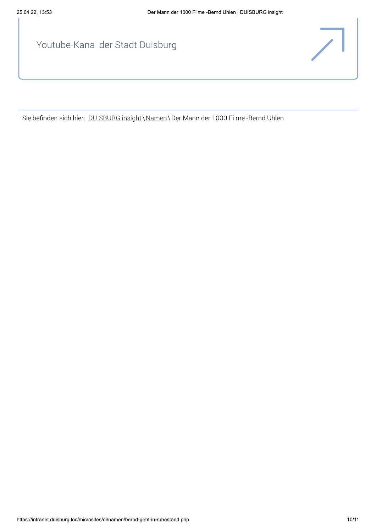Youtube-Kanal der Stadt Duisburg

Sie befinden sich hier: DUISBURG insight \Namen \Der Mann der 1000 Filme -Bernd Uhlen